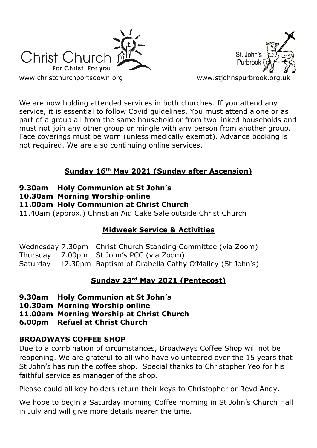



We are now holding attended services in both churches. If you attend any service, it is essential to follow Covid guidelines. You must attend alone or as part of a group all from the same household or from two linked households and must not join any other group or mingle with any person from another group. Face coverings must be worn (unless medically exempt). Advance booking is not required. We are also continuing online services.

# **Sunday 16th May 2021 (Sunday after Ascension)**

- **9.30am Holy Communion at St John's**
- **10.30am Morning Worship online**

## **11.00am Holy Communion at Christ Church**

11.40am (approx.) Christian Aid Cake Sale outside Christ Church

# **Midweek Service & Activities**

Wednesday 7.30pm Christ Church Standing Committee (via Zoom) Thursday 7.00pm St John's PCC (via Zoom) Saturday 12.30pm Baptism of Orabella Cathy O'Malley (St John's)

## **Sunday 23rd May 2021 (Pentecost)**

- **9.30am Holy Communion at St John's**
- **10.30am Morning Worship online**
- **11.00am Morning Worship at Christ Church**
- **6.00pm Refuel at Christ Church**

# **BROADWAYS COFFEE SHOP**

Due to a combination of circumstances, Broadways Coffee Shop will not be reopening. We are grateful to all who have volunteered over the 15 years that St John's has run the coffee shop. Special thanks to Christopher Yeo for his faithful service as manager of the shop.

Please could all key holders return their keys to Christopher or Revd Andy.

We hope to begin a Saturday morning Coffee morning in St John's Church Hall in July and will give more details nearer the time.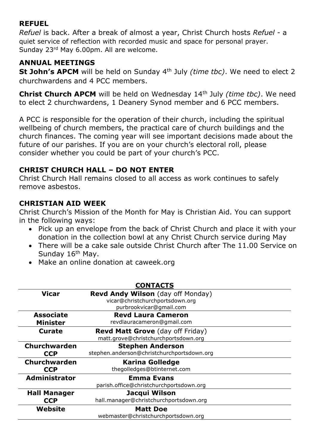## **REFUEL**

*Refuel* is back. After a break of almost a year, Christ Church hosts *Refuel* - a quiet service of reflection with recorded music and space for personal prayer. Sunday 23rd May 6.00pm. All are welcome.

## **ANNUAL MEETINGS**

**St John's APCM** will be held on Sunday 4th July *(time tbc)*. We need to elect 2 churchwardens and 4 PCC members.

**Christ Church APCM** will be held on Wednesday 14th July *(time tbc)*. We need to elect 2 churchwardens, 1 Deanery Synod member and 6 PCC members.

A PCC is responsible for the operation of their church, including the spiritual wellbeing of church members, the practical care of church buildings and the church finances. The coming year will see important decisions made about the future of our parishes. If you are on your church's electoral roll, please consider whether you could be part of your church's PCC.

## **CHRIST CHURCH HALL – DO NOT ENTER**

Christ Church Hall remains closed to all access as work continues to safely remove asbestos.

## **CHRISTIAN AID WEEK**

Christ Church's Mission of the Month for May is Christian Aid. You can support in the following ways:

- Pick up an envelope from the back of Christ Church and place it with your donation in the collection bowl at any Christ Church service during May
- There will be a cake sale outside Christ Church after The 11.00 Service on Sunday 16<sup>th</sup> May.
- Make an online donation at caweek.org

| <b>CONTACTS</b>      |                                            |
|----------------------|--------------------------------------------|
| <b>Vicar</b>         | <b>Revd Andy Wilson</b> (day off Monday)   |
|                      | vicar@christchurchportsdown.org            |
|                      | purbrookvicar@gmail.com                    |
| <b>Associate</b>     | <b>Revd Laura Cameron</b>                  |
| <b>Minister</b>      | revdlauracameron@gmail.com                 |
| <b>Curate</b>        | <b>Revd Matt Grove</b> (day off Friday)    |
|                      | matt.grove@christchurchportsdown.org       |
| Churchwarden         | <b>Stephen Anderson</b>                    |
| <b>CCP</b>           | stephen.anderson@christchurchportsdown.org |
| <b>Churchwarden</b>  | <b>Karina Golledge</b>                     |
| <b>CCP</b>           | thegolledges@btinternet.com                |
| <b>Administrator</b> | <b>Emma Evans</b>                          |
|                      | parish.office@christchurchportsdown.org    |
| <b>Hall Manager</b>  | Jacqui Wilson                              |
| <b>CCP</b>           | hall.manager@christchurchportsdown.org     |
| Website              | <b>Matt Doe</b>                            |
|                      | webmaster@christchurchportsdown.org        |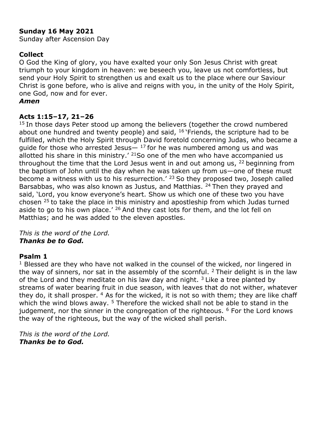### **Sunday 16 May 2021**

Sunday after Ascension Day

### **Collect**

O God the King of glory, you have exalted your only Son Jesus Christ with great triumph to your kingdom in heaven: we beseech you, leave us not comfortless, but send your Holy Spirit to strengthen us and exalt us to the place where our Saviour Christ is gone before, who is alive and reigns with you, in the unity of the Holy Spirit, one God, now and for ever.

#### *Amen*

### **Acts 1:15–17, 21–26**

<sup>15</sup> In those days Peter stood up among the believers (together the crowd numbered about one hundred and twenty people) and said,  $16$  'Friends, the scripture had to be fulfilled, which the Holy Spirit through David foretold concerning Judas, who became a quide for those who arrested Jesus $-$  17 for he was numbered among us and was allotted his share in this ministry.' <sup>21</sup>So one of the men who have accompanied us throughout the time that the Lord Jesus went in and out among us,  $22$  beginning from the baptism of John until the day when he was taken up from us—one of these must become a witness with us to his resurrection.<sup>' 23</sup> So they proposed two, Joseph called Barsabbas, who was also known as Justus, and Matthias. <sup>24</sup> Then they prayed and said, 'Lord, you know everyone's heart. Show us which one of these two you have chosen <sup>25</sup> to take the place in this ministry and apostleship from which Judas turned aside to go to his own place.<sup> $26$ </sup> And they cast lots for them, and the lot fell on Matthias; and he was added to the eleven apostles.

*This is the word of the Lord. Thanks be to God.*

### **Psalm 1**

 $1$  Blessed are they who have not walked in the counsel of the wicked, nor lingered in the way of sinners, nor sat in the assembly of the scornful.  $2$  Their delight is in the law of the Lord and they meditate on his law day and night.  $3$  Like a tree planted by streams of water bearing fruit in due season, with leaves that do not wither, whatever they do, it shall prosper.  $4$  As for the wicked, it is not so with them; they are like chaff which the wind blows away. <sup>5</sup> Therefore the wicked shall not be able to stand in the judgement, nor the sinner in the congregation of the righteous.  $6$  For the Lord knows the way of the righteous, but the way of the wicked shall perish.

*This is the word of the Lord. Thanks be to God.*